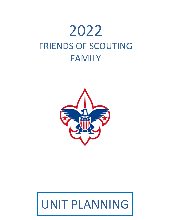# 2022 FRIENDS OF SCOUTING FAMILY



# UNIT PLANNING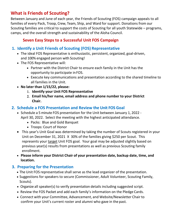# **What is Friends of Scouting?**

Between January and June of each year, the Friends of Scouting (FOS) campaign appeals to all families of every Pack, Troop, Crew, Team, Ship, and Ward for support. Donations from our Scouting families are critical to support the costs of Scouting for all youth Statewide – programs, camps, and the overall strength and sustainability of the Aloha Council.

# **Seven Easy Steps to a Successful Unit FOS Campaign**

# **1. Identify a Unit Friends of Scouting (FOS) Representative**

- The ideal FOS Representative is enthusiastic, persistent, organized, goal-driven, and 100% engaged person with Scouting!
- The FOS Representative will:
	- Partner with the District Chair to ensure each family in the Unit has the opportunity to participate inFOS.
	- Execute key communications and presentation according to the shared timeline to all families in the Unit.
- **No later than 1/15/22, please:**
	- 1. **Identify your Unit FOS Representative**
	- 2. **Email his/her name, email address and phone number to your District Chair.**

# **2. Schedule a FOS Presentation and Review the Unit FOS Goal**

- Schedule a 5 minute FOS presentation for the Unit between January 1, 2022 April 30, 2022. Select the meeting with the highest anticipated attendance.
	- Packs: Blue and Gold Banquet
	- Troops: Court of Honor
- This year's Unit Goal was determined by taking the number of Scouts registered in your Unit on December 31, 2021 X 30% of the families giving \$250 per Scout. This represents your target Unit FOS goal. Your goal may be adjusted slightly based on previous year(s) results from presentations as well as previous Scouting family enrollment.
- **Please inform your District Chair of your presentation date, backup date, time, and location.**

# **3. Preparing for the Presentation**

- The Unit FOS representative shall serve as the lead organizer of the presentation.
- Suggestions for speakers to secure (Commissioner, Adult Volunteer, Scouting Family, Scouts).
- Organize all speaker(s) to verify presentation details including suggested script.
- Review the FOS Packet and add each family's information on the Pledge Cards.
- Connect with your Committee, Advancement, and Website/Newsletter Chair to confirm your Unit's current roster and alumni who gave in the past.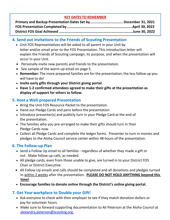# **KEY DATES TO REMEMBER**

# **4. Send out invitations to the Friends of Scouting Presentation**

- Unit FOS Representatives will be asked to all parent in your Unit by letter and/or email prior to the FOS Presentation. This introduction letter will explain the Friends of Scouting campaign, its purpose, and when the presentation will occur in your Unit.
- Personally invite new parents and friends to the presentation.
- See sample of the warm-up email on page 5.
- **Remember:** The more prepared families are for the presentation, the less follow up you will have to do!
- **Invite early gifts through your District giving portal.**
- **Have 1-2 confirmed attendees agreed to make their gifts at the presentation as display of support for others to follow.**

# **5. Host a Well-prepared Presentation**

- Bring the Unit FOS Resource Packet to the presentation.
- Hand out Pledge Cards and pens before the presentation.
- Introduce presenter(s) and publicly turn in your Pledge Card at the end of the presentation.
- The families who you pre-arranged to make their gifts should turn in their Pledge Cards now.
- Collect all Pledge Cards and complete the ledger forms. Presenter to turn in monies and pledges to the Aloha Council service center within 48 hours of the presentation.

# **6. The Follow-up Plan**

- Send a Follow Up email to all families regardless of whether they made a gift or not. Make follow up calls, as needed.
- All pledge cards, even from those unable to give, are turned in to your District FOS Chair or District Executive.
- All Follow Up emails and calls should be completed and all donations and pledges turned in within 2 weeks after the presentation. **PLEASE DO NOT HOLD ANYTHING beyond this time!**
- **Encourage families to donate online through the District's online giving portal.**

# **7. Get Your workplace to Double your Gift!**

- Ask everyone to check with their employer to see if they match donation dollars or pay for volunteer hours.
- Make sure to forward supporting documentation to Ali Peterson at the Aloha Council at [alexandra.peterson@scouting.org.](mailto:alexandra.peterson@scouting.org)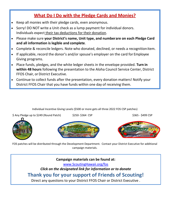# **What Do I Do with the Pledge Cards and Monies?**

- Keep all monies with their pledge cards, even anonymous.
- Sorry! DO NOT write a Unit check as a lump payment for individual donors. Individuals expect their tax deductions for their donation.
- Please make sure **your District's name, Unit type, and numberare on each Pledge Card and all information is legible and complete**.
- Complete & reconcile ledgers. Note who donated, declined, or needs a recognitionitem.
- If applicable, record the donor's and/or spouse's employer on the card for Employee Giving programs.
- Place funds, pledges, and the white ledger sheets in the envelope provided. **Turn in within 48 hours** following the presentation to the Aloha Council Service Center, District FFOS Chair, or District Executive.
- Continue to collect funds after the presentation, every donation matters! Notify your District FFOS Chair that you have funds within one day of receiving them.

Individual Incentive Giving Levels (\$500 or more gets all three 2022 FOS CSP patches)









FOS patches will be distributed through the Development Department. Contact your District Executive for additional campaign materials.

**Campaign materials can be found at:**

[www.ScoutingHawaii.org/fos](http://www.scoutinghawaii.org/fos)

*Click on the designated link for information or to donate*

# **Thank you for your support of Friends of Scouting!**

Direct any questions to your District FFOS Chair or District Executive .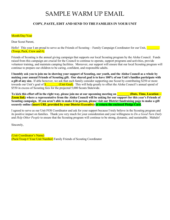# SAMPLE WARM UP EMAIL

#### **COPY, PASTE, EDIT AND SEND TO THE FAMILIES IN YOUR UNIT**

#### Month/Day/Year

Dear Scout Parent,

Hello! This year I am proud to serve as the Friends of Scouting – Family Campaign Coordinator for our Unit, (Troop, Pack, Crew and  $#$ ).

Friends of Scouting is the annual giving campaign that supports our local Scouting program by the Aloha Council. Funds raised from this campaign are crucial for the Council to continue to operate, support programs and activities, provide volunteer training, and maintain camping facilities. Moreover, our support will ensure that our local Scouting program will continue to prepare our children to be caring, confident, and responsible adults.

**I humbly ask you to join me in showing your support of Scouting, our youth, and the Aloha Council as a whole by making your annual Friends of Scouting gift. Our shared goal is to have 100% of our Unit's families participate with a gift of any size.** If able however, we ask that each family consider supporting one Scout by contributing \$250 or more towards our Unit's goal of  $\frac{\pi}{\pi}$  (Unit Goal). This will help greatly to offset the Aloha Council's annual spend of \$550 in excess of Scouting fees for the projected 5,000 Scouts Statewide.

To kick this effort off in the right way, please join me at our upcoming meeting on **The Contain – (Date, Time, Location – Zoom link) where a representative from the Aloha Council will be asking for our support for this year's Friends of Scouting campaign. If you aren't able to make it in person, please visit our District fundraising page to make a gift securely online (insert URL provided by your District Executive) or return the enclosed Pledge Card.** 

I agreed to serve as our Unit FOS Coordinator and ask for your support because I truly believe in the Scouting program and its positive impact on families. Thank you very much for your consideration and your willingness to *Do a Good Turn Daily* and *Help Other People* to ensure that the Scouting program will continue to be strong, dynamic, and sustainable. Mahalo!

Sincerely,

(Unit Coordinator's Name) (Pack/Troop # Your Unit Number) Family Friends of Scouting Coordinator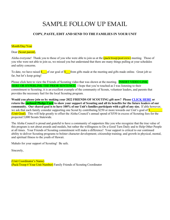# SAMPLE FOLLOW UP EMAIL

#### **COPY, PASTE, EDIT AND SEND TO THE FAMILIES IN YOUR UNIT**

#### Month/Day/Year

#### Dear (Scout parent),

Aloha everyone! Thank you to those of you who were able to join us at the (pack/troop/post/crew) meeting. Those of you who were not able to join us, we missed you but understand that there are many things pulling at your schedules and safety concerns.

To date, we have raised  $\frac{\$$  of our goal of  $\$$  from gifts made at the meeting and gifts made online. Great job so far, but let's keep going!

Please click here to view the Friends of Scouting video that was shown at the meeting. **INSERT VIDEO LINK** HERE OR HYPERLINK THE PRIOR SENTENCE. I hope that you're touched as I was listening to their commitment to Scouting; it is an excellent example of the community of Scouts, volunteer leaders, and parents that provides the necessary fuel for the local Scouting program.

**Would you please join us by making your 2022 FRIENDS OF SCOUTING gift now? Please [CLICK HERE](https://www.flipcause.com/secure/all_campaign/MTMwMDkx/NDE3Mg==) or return the enclosed Pledge Card to show your support of Scouting and all its benefits for the future leaders of our community. Our shared goal is to have 100% of our Unit's families participate with a gift of any size.** If able however, we ask that each family consider supporting one Scout by contributing  $$250$  or more towards our Unit's goal of  $$$ (Unit Goal). This will help greatly to offset the Aloha Council's annual spend of \$550 in excess of Scouting fees for the projected 5,000 Scouts Statewide.

The Aloha Council is proud and grateful to have a community of supporters like you who recognize that the true value of this program is not about awards and medals, but rather the willingness to Do a Good Turn Daily and to Help Other People at all times. Your Friends of Scouting commitment will make a difference! Your support is critical to our continued ability to deliver Scouting programs to bolster character development; citizenship training; and growth in physical, mental, and spiritual fitness to the youth of Hawaii.

Mahalo for your support of Scouting! Be safe.

Sincerely,

(Unit Coordinator's Name) (Pack/Troop # Your Unit Number) Family Friends of Scouting Coordinator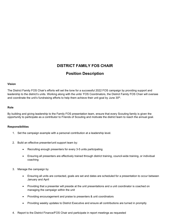## **DISTRICT FAMILY FOS CHAIR**

## **Position Description**

#### **Vision**

The District Family FOS Chair's efforts will set the tone for a successful 2022 FOS campaign by providing support and leadership to the district's units. Working along with the units' FOS Coordinators, the District Family FOS Chair will oversee and coordinate the unit's fundraising efforts to help them achieve their unit goal by June 30<sup>th</sup>.

#### **Role**

By building and giving leadership to the Family FOS presentation team, ensure that every Scouting family is given the opportunity to participate as a contributor to Friends of Scouting and motivate the district team to reach the annual goal.

#### **Responsibilities**

- 1. Set the campaign example with a personal contribution at a leadership level.
- 2. Build an effective presenter/unit support team by:
	- Recruiting enough presenters for every 3-5 units participating
	- Ensuring all presenters are effectively trained through district training, council-wide training, or individual coaching
- 3. Manage the campaign by
	- Ensuring all units are contacted, goals are set and dates are scheduled for a presentation to occur between January and April
	- Providing that a presenter will preside at the unit presentations and a unit coordinator is coached on managing the campaign within the unit
	- Providing encouragement and praise to presenters & unit coordinators
	- Providing weekly updates to District Executive and ensure all contributions are turned in promptly
- 4. Report to the District Finance/FOS Chair and participate in report meetings as requested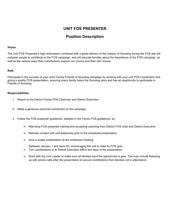# **UNIT FOS PRESENTER**

## **Position Description**

#### **Vision**

The Unit FOS Presenter's high enthusiasm combined with a great delivery of the mission of Scouting during the FOS ask will motivate people to contribute to the FOS campaign, and will educate families about the importance of the FOS campaign, as well as the various ways their contributions support our council and their own scouts.

#### **Role**

Participate in the success of your unit's Family Friends of Scouting campaign by working with your unit FOS Coordinator and giving a quality FOS presentation, ensuring every family hears the Scouting story and has an opportunity to participate in Friends of Scouting.

#### **Responsibilities**

- 1. Report to the District Family FOS Chairman and District Executive.
- 2. Make a generous personal contribution to the campaign.
- 3. Follow the FOS presenter guidelines, detailed in the Family FOS guidebook, by:
	- Attending FOS presenter training and accepting coaching from District FOS chair and District Executive
	- Maintain contact with unit leadership prior to the scheduled presentation
	- Give a quality presentation at the scheduled meeting
		- (between January 1 and April 30), encouraging the unit to meet its FOS goal
	- Turn contributions in to District Executive within two days of the presentation
	- Work with the Unit Leader to make sure all families have the opportunity to give. This may include following up with phone calls after the presentation to secure contributions from families not in attendance.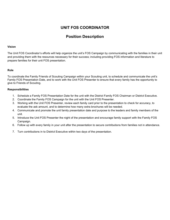# **UNIT FOS COORDINATOR**

# **Position Description**

#### **Vision**

The Unit FOS Coordinator's efforts will help organize the unit's FOS Campaign by communicating with the families in their unit and providing them with the resources necessary for their success; including providing FOS information and literature to prepare families for their unit FOS presentation.

#### **Role**

To coordinate the Family Friends of Scouting Campaign within your Scouting unit, to schedule and communicate the unit's Family FOS Presentation Date, and to work with the Unit FOS Presenter to ensure that every family has the opportunity to give to Friends of Scouting.

#### **Responsibilities**

- 1. Schedule a Family FOS Presentation Date for the unit with the District Family FOS Chairman or District Executive.
- 2. Coordinate the Family FOS Campaign for the unit with the Unit FOS Presenter.
- 3. Working with the Unit FOS Presenter, review each family card prior to the presentation to check for accuracy, to evaluate the ask amount, and to determine how many extra brochures will be needed.
- 4. Communicate and promote the unit family presentation date and purpose to the leaders and family members of the unit.
- 5. Introduce the Unit FOS Presenter the night of the presentation and encourage family support with the Family FOS Campaign.
- 6. Follow up with every family in your unit after the presentation to secure contributions from families not in attendance.
- 7. Turn contributions in to District Executive within two days of the presentation.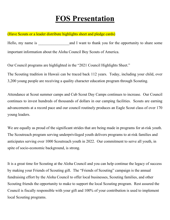# **FOS Presentation**

### (Have Scouts or a leader distribute highlights sheet and pledge cards)

Hello, my name is **Example 2** and I want to thank you for the opportunity to share some important information about the Aloha Council Boy Scouts of America.

Our Council programs are highlighted in the "2021 Council Highlights Sheet."

The Scouting tradition in Hawaii can be traced back 112 years. Today, including your child, over 3,200 young people are receiving a quality character education program through Scouting.

Attendance at Scout summer camps and Cub Scout Day Camps continues to increase. Our Council continues to invest hundreds of thousands of dollars in our camping facilities. Scouts are earning advancements at a record pace and our council routinely produces an Eagle Scout class of over 170 young leaders.

We are equally as proud of the significant strides that are being made in programs for at-risk youth. The Scoutreach program serving underprivileged youth delivers programs to at-risk families and anticipates serving over 1000 Scoutreach youth in 2022. Our commitment to serve all youth, in spite of socio-economic background, is strong.

It is a great time for Scouting at the Aloha Council and you can help continue the legacy of success by making your Friends of Scouting gift. The "Friends of Scouting" campaign is the annual fundraising effort by the Aloha Council to offer local businesses, Scouting families, and other Scouting friends the opportunity to make to support the local Scouting program. Rest assured the Council is fiscally responsible with your gift and 100% of your contribution is used to implement local Scouting programs.